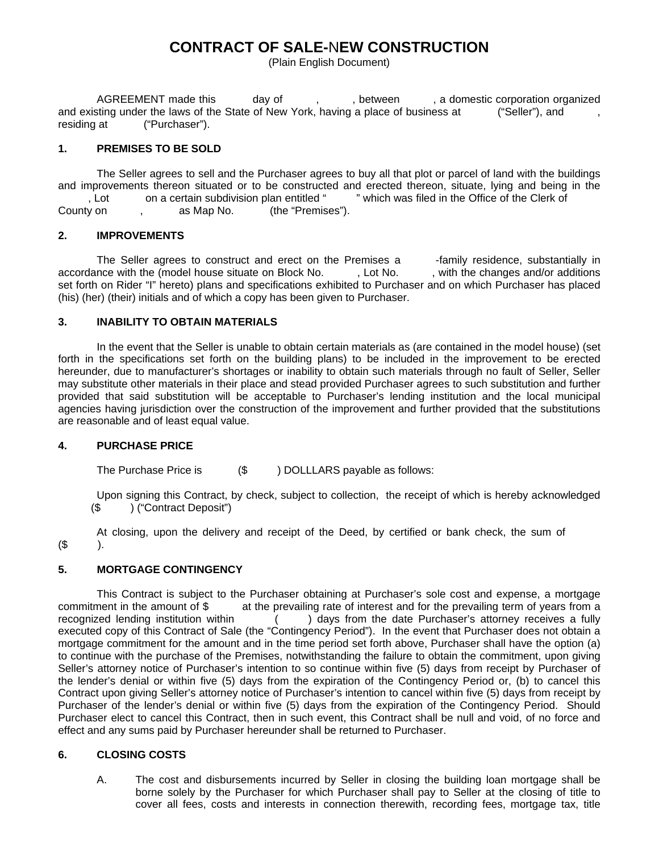# **CONTRACT OF SALE-**N**EW CONSTRUCTION**

(Plain English Document)

AGREEMENT made this day of , , between , a domestic corporation organized and existing under the laws of the State of New York, having a place of business at ("Seller"), and residing at ("Purchaser").

# **1. PREMISES TO BE SOLD**

 The Seller agrees to sell and the Purchaser agrees to buy all that plot or parcel of land with the buildings and improvements thereon situated or to be constructed and erected thereon, situate, lying and being in the <br>Lot con a certain subdivision plan entitled " which was filed in the Office of the Clerk of , Lot on a certain subdivision plan entitled " County on , as Map No. (the "Premises").

## **2. IMPROVEMENTS**

The Seller agrees to construct and erect on the Premises a -family residence, substantially in accordance with the (model house situate on Block No. , Lot No. , with the changes and/or additions set forth on Rider "I" hereto) plans and specifications exhibited to Purchaser and on which Purchaser has placed (his) (her) (their) initials and of which a copy has been given to Purchaser.

# **3. INABILITY TO OBTAIN MATERIALS**

 In the event that the Seller is unable to obtain certain materials as (are contained in the model house) (set forth in the specifications set forth on the building plans) to be included in the improvement to be erected hereunder, due to manufacturer's shortages or inability to obtain such materials through no fault of Seller, Seller may substitute other materials in their place and stead provided Purchaser agrees to such substitution and further provided that said substitution will be acceptable to Purchaser's lending institution and the local municipal agencies having jurisdiction over the construction of the improvement and further provided that the substitutions are reasonable and of least equal value.

## **4. PURCHASE PRICE**

The Purchase Price is  $($   $)$  DOLLLARS payable as follows:

 Upon signing this Contract, by check, subject to collection, the receipt of which is hereby acknowledged (\$ ) ("Contract Deposit")

 At closing, upon the delivery and receipt of the Deed, by certified or bank check, the sum of  $($ \$ ).

## **5. MORTGAGE CONTINGENCY**

 This Contract is subject to the Purchaser obtaining at Purchaser's sole cost and expense, a mortgage commitment in the amount of \$ at the prevailing rate of interest and for the prevailing term of years from a recognized lending institution within ( ) days from the date Purchaser's attorney receives a fully executed copy of this Contract of Sale (the "Contingency Period"). In the event that Purchaser does not obtain a mortgage commitment for the amount and in the time period set forth above, Purchaser shall have the option (a) to continue with the purchase of the Premises, notwithstanding the failure to obtain the commitment, upon giving Seller's attorney notice of Purchaser's intention to so continue within five (5) days from receipt by Purchaser of the lender's denial or within five (5) days from the expiration of the Contingency Period or, (b) to cancel this Contract upon giving Seller's attorney notice of Purchaser's intention to cancel within five (5) days from receipt by Purchaser of the lender's denial or within five (5) days from the expiration of the Contingency Period. Should Purchaser elect to cancel this Contract, then in such event, this Contract shall be null and void, of no force and effect and any sums paid by Purchaser hereunder shall be returned to Purchaser.

# **6. CLOSING COSTS**

A. The cost and disbursements incurred by Seller in closing the building loan mortgage shall be borne solely by the Purchaser for which Purchaser shall pay to Seller at the closing of title to cover all fees, costs and interests in connection therewith, recording fees, mortgage tax, title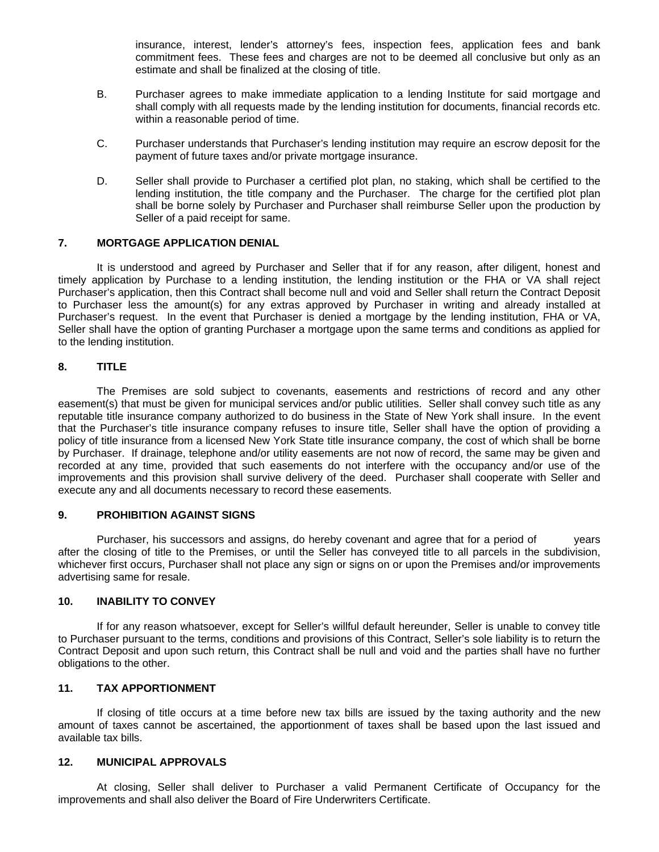insurance, interest, lender's attorney's fees, inspection fees, application fees and bank commitment fees. These fees and charges are not to be deemed all conclusive but only as an estimate and shall be finalized at the closing of title.

- B. Purchaser agrees to make immediate application to a lending Institute for said mortgage and shall comply with all requests made by the lending institution for documents, financial records etc. within a reasonable period of time.
- C. Purchaser understands that Purchaser's lending institution may require an escrow deposit for the payment of future taxes and/or private mortgage insurance.
- D. Seller shall provide to Purchaser a certified plot plan, no staking, which shall be certified to the lending institution, the title company and the Purchaser. The charge for the certified plot plan shall be borne solely by Purchaser and Purchaser shall reimburse Seller upon the production by Seller of a paid receipt for same.

#### **7. MORTGAGE APPLICATION DENIAL**

 It is understood and agreed by Purchaser and Seller that if for any reason, after diligent, honest and timely application by Purchase to a lending institution, the lending institution or the FHA or VA shall reject Purchaser's application, then this Contract shall become null and void and Seller shall return the Contract Deposit to Purchaser less the amount(s) for any extras approved by Purchaser in writing and already installed at Purchaser's request. In the event that Purchaser is denied a mortgage by the lending institution, FHA or VA, Seller shall have the option of granting Purchaser a mortgage upon the same terms and conditions as applied for to the lending institution.

## **8. TITLE**

 The Premises are sold subject to covenants, easements and restrictions of record and any other easement(s) that must be given for municipal services and/or public utilities. Seller shall convey such title as any reputable title insurance company authorized to do business in the State of New York shall insure. In the event that the Purchaser's title insurance company refuses to insure title, Seller shall have the option of providing a policy of title insurance from a licensed New York State title insurance company, the cost of which shall be borne by Purchaser. If drainage, telephone and/or utility easements are not now of record, the same may be given and recorded at any time, provided that such easements do not interfere with the occupancy and/or use of the improvements and this provision shall survive delivery of the deed. Purchaser shall cooperate with Seller and execute any and all documents necessary to record these easements.

## **9. PROHIBITION AGAINST SIGNS**

 Purchaser, his successors and assigns, do hereby covenant and agree that for a period of years after the closing of title to the Premises, or until the Seller has conveyed title to all parcels in the subdivision, whichever first occurs, Purchaser shall not place any sign or signs on or upon the Premises and/or improvements advertising same for resale.

#### **10. INABILITY TO CONVEY**

 If for any reason whatsoever, except for Seller's willful default hereunder, Seller is unable to convey title to Purchaser pursuant to the terms, conditions and provisions of this Contract, Seller's sole liability is to return the Contract Deposit and upon such return, this Contract shall be null and void and the parties shall have no further obligations to the other.

## **11. TAX APPORTIONMENT**

 If closing of title occurs at a time before new tax bills are issued by the taxing authority and the new amount of taxes cannot be ascertained, the apportionment of taxes shall be based upon the last issued and available tax bills.

#### **12. MUNICIPAL APPROVALS**

 At closing, Seller shall deliver to Purchaser a valid Permanent Certificate of Occupancy for the improvements and shall also deliver the Board of Fire Underwriters Certificate.